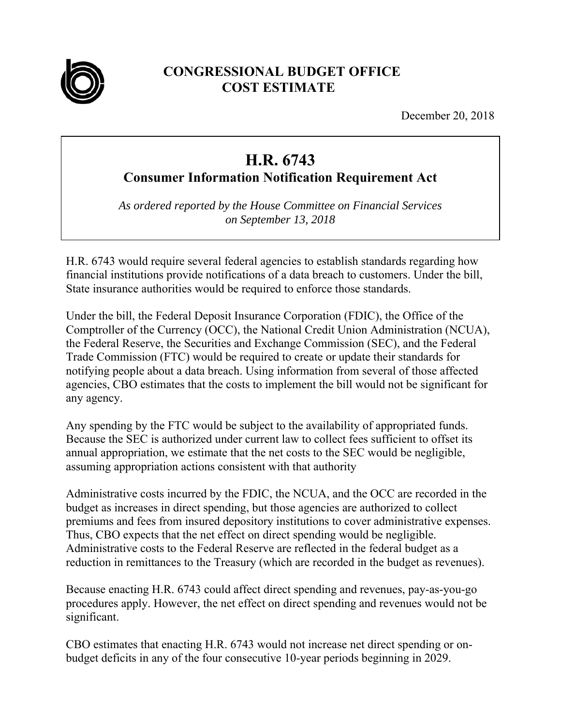

## **CONGRESSIONAL BUDGET OFFICE COST ESTIMATE**

December 20, 2018

## **H.R. 6743**

**Consumer Information Notification Requirement Act** 

*As ordered reported by the House Committee on Financial Services on September 13, 2018* 

H.R. 6743 would require several federal agencies to establish standards regarding how financial institutions provide notifications of a data breach to customers. Under the bill, State insurance authorities would be required to enforce those standards.

Under the bill, the Federal Deposit Insurance Corporation (FDIC), the Office of the Comptroller of the Currency (OCC), the National Credit Union Administration (NCUA), the Federal Reserve, the Securities and Exchange Commission (SEC), and the Federal Trade Commission (FTC) would be required to create or update their standards for notifying people about a data breach. Using information from several of those affected agencies, CBO estimates that the costs to implement the bill would not be significant for any agency.

Any spending by the FTC would be subject to the availability of appropriated funds. Because the SEC is authorized under current law to collect fees sufficient to offset its annual appropriation, we estimate that the net costs to the SEC would be negligible, assuming appropriation actions consistent with that authority

Administrative costs incurred by the FDIC, the NCUA, and the OCC are recorded in the budget as increases in direct spending, but those agencies are authorized to collect premiums and fees from insured depository institutions to cover administrative expenses. Thus, CBO expects that the net effect on direct spending would be negligible. Administrative costs to the Federal Reserve are reflected in the federal budget as a reduction in remittances to the Treasury (which are recorded in the budget as revenues).

Because enacting H.R. 6743 could affect direct spending and revenues, pay-as-you-go procedures apply. However, the net effect on direct spending and revenues would not be significant.

CBO estimates that enacting H.R. 6743 would not increase net direct spending or onbudget deficits in any of the four consecutive 10-year periods beginning in 2029.